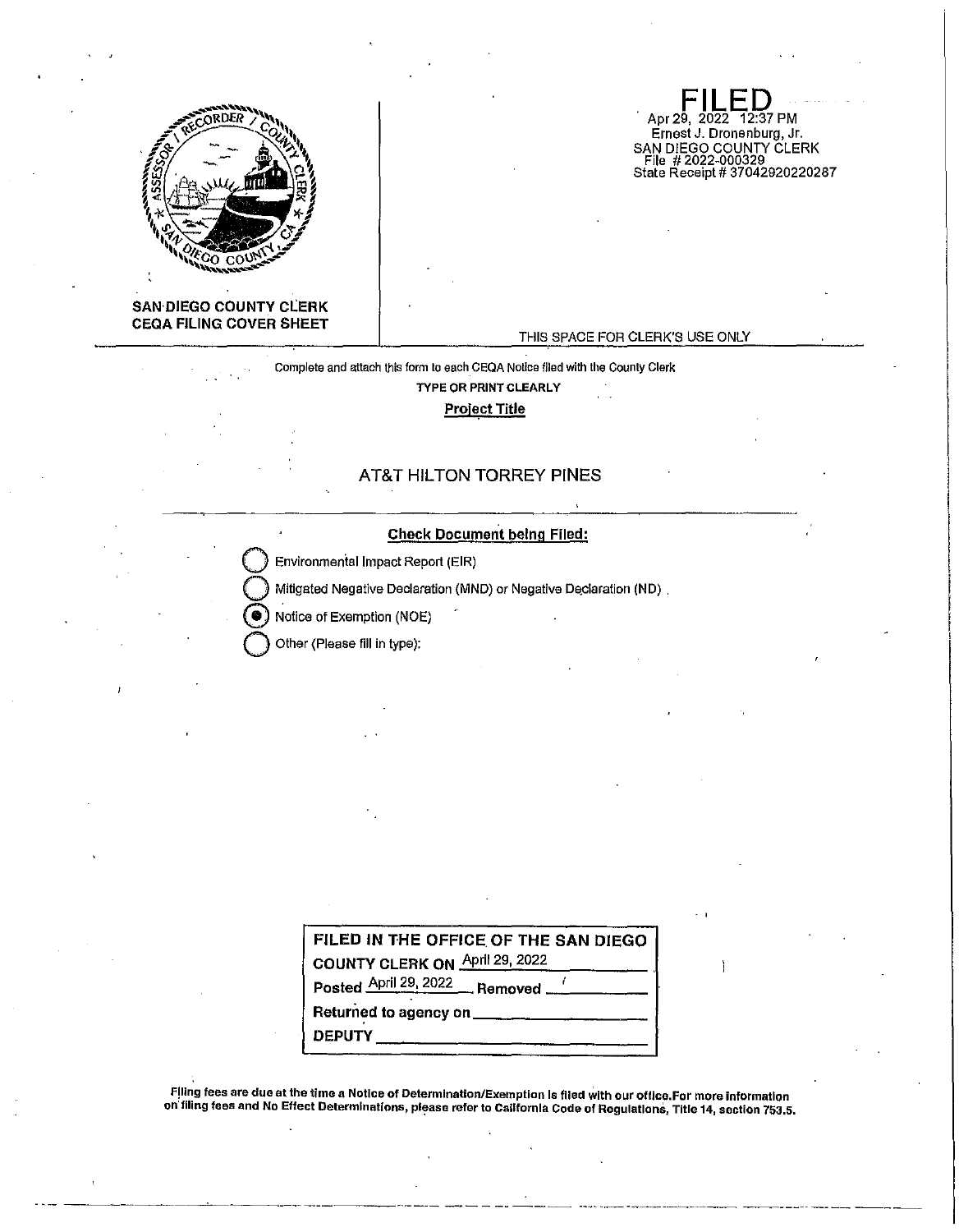

**SAN·DIEGO COUNTY CLERK CEQA FILING COVER SHEET** 

#### THIS SPACE FOR CLERK'S USE ONLY

**FILED**  Apr 29, 2022 12:37 PM Ernest J. Dronenburg, Jr.

SAN DIEGO COUNTY CLERK File # 2022-000329 State Receipt# 37042920220287

## Complete and attach this form to each.CEQA Notice flied with the County Clerk TYPE OR PRINT CLEARLY Project Title

## AT&T HILTON TORREY PINES

### **Check Document being Filed:**

Environmental Impact Report (EIR)

Mitigated Negative Declaration (MND) or Negative Declaration (ND).

Notice of Exemption (NOE)

**Q** Other (Please fill in type):

| FILED IN THE OFFICE OF THE SAN DIEGO |
|--------------------------------------|
| COUNTY CLERK ON April 29, 2022       |
| Posted April 29, 2022 Removed [100]  |
|                                      |
| <b>DEPUTY</b>                        |

Filing fees are due at the time a Notice of Determination/Exemption Is filed with our office.For more information on filing fees and No Effect Determinations, please refer to California Code of Regulations, Title 14, section 753.5.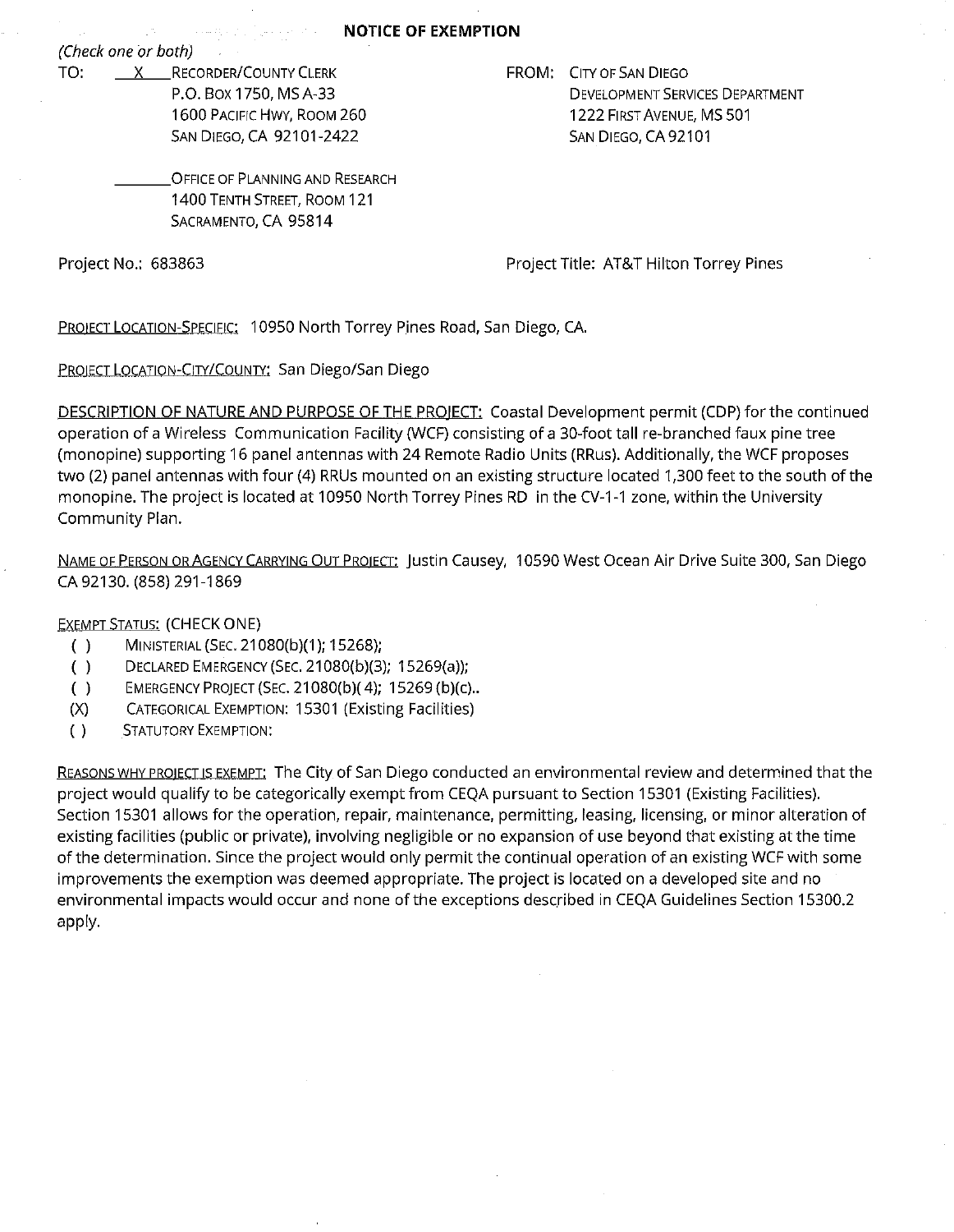(Check one or both)

TO: X RECORDER/COUNTY CLERK P.O. Box 1750, MS A-33 1600 PACIFIC HWY, ROOM 260 SAN DIEGO, CA 92101-2422

الأراكب والمسر

FROM: CITY OF SAN DIEGO DEVELOPMENT SERVICES DEPARTMENT 1222 FIRST AVENUE, MS 501 SAN DIEGO, CA 92101

OFFICE OF PLANNING AND RESEARCH 1400 TENTH STREET, ROOM 121 SACRAMENTO, CA 95814

Project No.: 683863

Project Title: AT&T Hilton Torrey Pines

PROIECT LOCATION-SPECIFIC: 10950 North Torrey Pines Road, San Diego, CA.

PROIECT LOCATION-CITY/COUNTY: San Diego/San Diego

DESCRIPTION OF NATURE AND PURPOSE OF THE PROIECT: Coastal Development permit (CDP) for the continued operation of a Wireless Communication Facility (WCF) consisting of a 30-foot tall re-branched faux pine tree (monopine) supporting 16 panel antennas with 24 Remote Radio Units (RRus). Additionally, the WCF proposes two (2) panel antennas with four (4) RRUs mounted on an existing structure located 1,300 feet to the south of the monopine. The project is located at 10950 North Torrey Pines RD in the CV-1-1 zone, within the University Community Plan.

NAME OF PERSON OR AGENCY CARRYING OUT PR0IECT: Justin Causey, 10590 West Ocean Air Drive Suite 300, San Diego CA 92130. (858) 291-1869

**EXEMPT STATUS: (CHECK ONE)** 

- ( } MINISTERIAL (SEC. 21080(b)(1 }; 15268);
- ( ) DECLARED EMERGENCY (SEC. 21080(b)(3); 15269(a));
- ( } EMERGENCY PROJECT (SEC. 21080(b)( 4); 15269 (b)(c) ..
- (X) CATEGORICAL EXEMPTION: 15301 (Existing Facilities)
- ( } STATUTORY EXEMPTION:

REASONS WHY PROIECT IS EXEMPT: The City of San Diego conducted an environmental review and determined that the project would qualify to be categorically exempt from CEQA pursuant to Section 15301 (Existing Facilities). Section 15301 allows for the operation, repair, maintenance, permitting, leasing, licensing, or minor alteration of existing facilities (public or private}, involving negligible or no expansion of use beyond that existing at the time of the determination. Since the project would only permit the continual operation of an existing WCF with some improvements the exemption was deemed appropriate. The project is located on a developed site and no environmental impacts would occur and none of the exceptions described in CEQA Guidelines Section 15300.2 apply.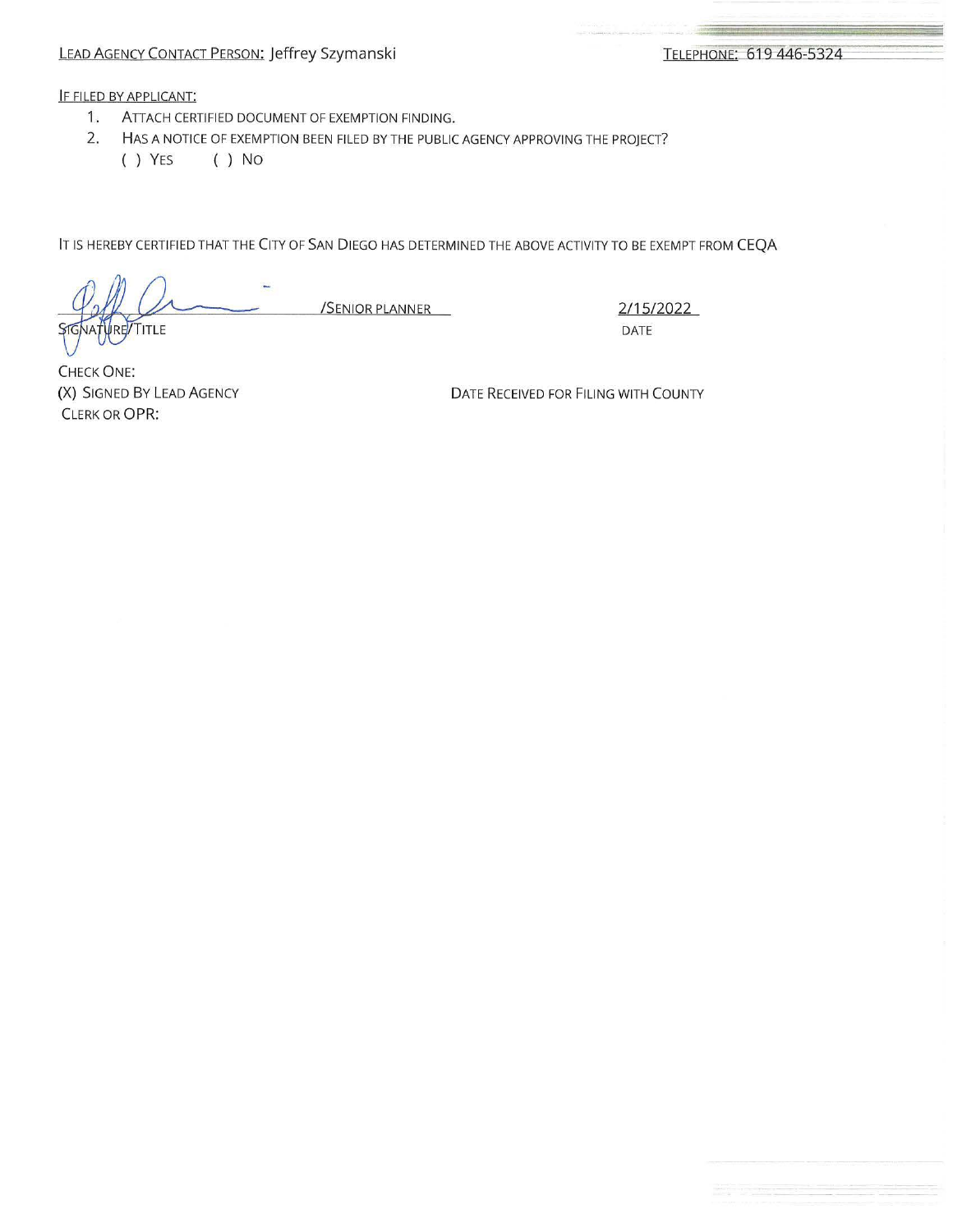# LEAD AGENCY CONTACT PERSON: Jeffrey Szymanski

-----

>= ;.c

## IF FILED BY APPLICANT:

- 1. ATTACH CERTIFIED DOCUMENT OF EXEMPTION FINDING.
- 2. HAS A NOTICE OF EXEMPTION BEEN FILED BY THE PUBLIC AGENCY APPROVING THE PROJECT?
	- ( ) YES ( ) No

IT IS HEREBY CERTIFIED THAT THE CITY OF SAN DIEGO HAS DETERMINED THE ABOVE ACTIVITY TO BE EXEMPT FROM CEQA

/SENIOR PLANNER 2/15/2022 TITLE

DATE

CHECK ONE: (X) SIGNED BY LEAD AGENCY CLERK OR OPR:

DATE RECEIVED FOR FILING WITH COUNTY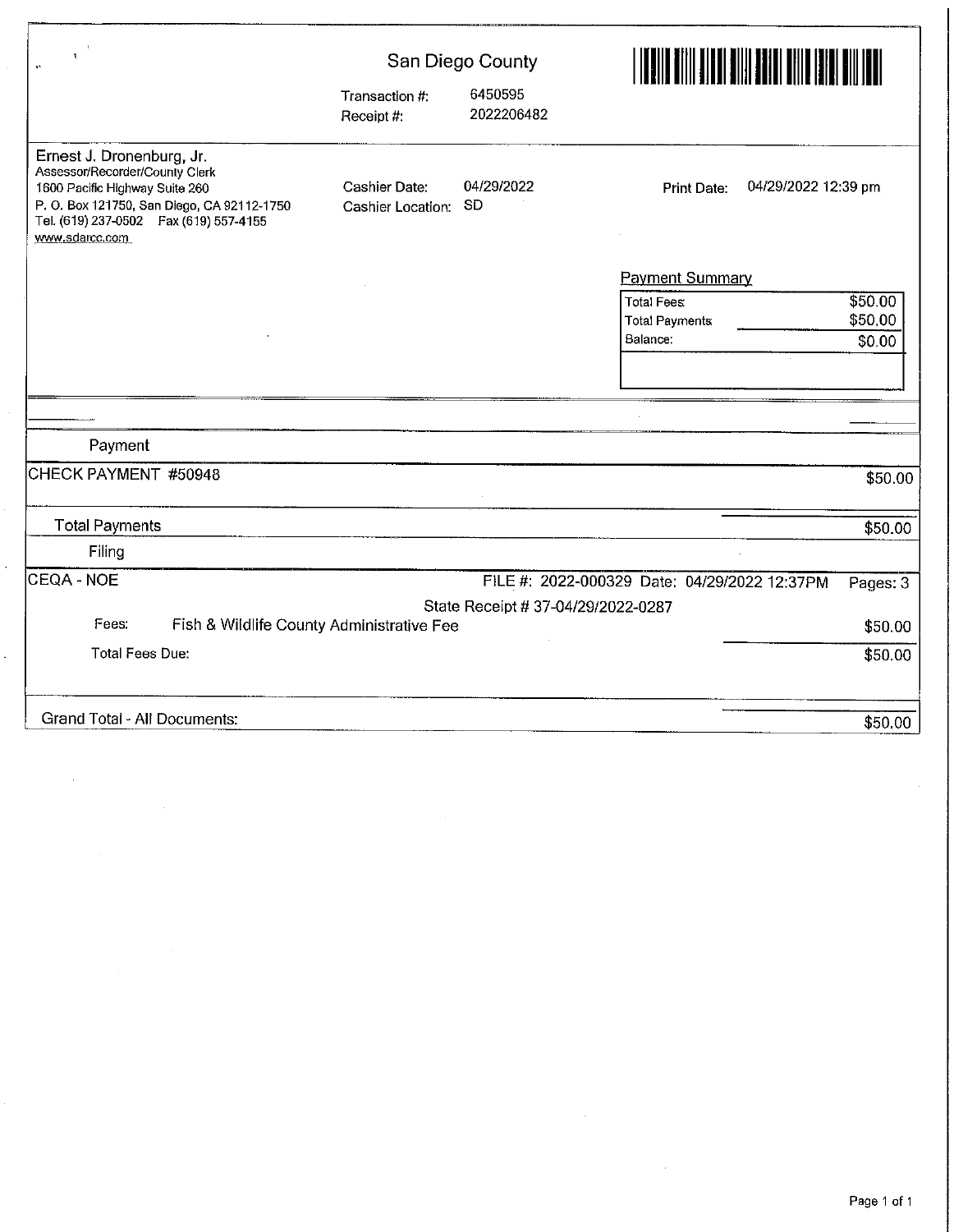| ۹                                                                                                                                                                                                       |                                    | San Diego County                   | <u>Han filmar ta kara ta shekara ta 1999 ha</u>                                        |  |  |
|---------------------------------------------------------------------------------------------------------------------------------------------------------------------------------------------------------|------------------------------------|------------------------------------|----------------------------------------------------------------------------------------|--|--|
|                                                                                                                                                                                                         | Transaction #:<br>Receipt #:       | 6450595<br>2022206482              |                                                                                        |  |  |
| Ernest J. Dronenburg, Jr.<br>Assessor/Recorder/County Clerk<br>1600 Pacific Highway Suite 260<br>P.O. Box 121750, San Diego, CA 92112-1750<br>Tel. (619) 237-0502  Fax (619) 557-4155<br>www.sdarcc.com | Cashier Date:<br>Cashier Location: | 04/29/2022<br><b>SD</b>            | 04/29/2022 12:39 pm<br><b>Print Date:</b>                                              |  |  |
|                                                                                                                                                                                                         |                                    |                                    | <b>Payment Summary</b>                                                                 |  |  |
|                                                                                                                                                                                                         |                                    |                                    | \$50.00<br><b>Total Fees</b><br>\$50,00<br><b>Total Payments</b><br>Balance:<br>\$0.00 |  |  |
|                                                                                                                                                                                                         |                                    |                                    |                                                                                        |  |  |
|                                                                                                                                                                                                         |                                    |                                    |                                                                                        |  |  |
| Payment                                                                                                                                                                                                 |                                    |                                    |                                                                                        |  |  |
| CHECK PAYMENT #50948                                                                                                                                                                                    |                                    |                                    | \$50.00                                                                                |  |  |
| <b>Total Payments</b>                                                                                                                                                                                   |                                    |                                    | \$50.00                                                                                |  |  |
| Filing                                                                                                                                                                                                  |                                    |                                    |                                                                                        |  |  |
| CEQA - NOE                                                                                                                                                                                              |                                    |                                    | FILE #: 2022-000329 Date: 04/29/2022 12:37PM<br>Pages: 3                               |  |  |
|                                                                                                                                                                                                         |                                    | State Receipt # 37-04/29/2022-0287 |                                                                                        |  |  |
| Fees:<br>Fish & Wildlife County Administrative Fee                                                                                                                                                      |                                    |                                    | \$50.00                                                                                |  |  |
| <b>Total Fees Due:</b>                                                                                                                                                                                  |                                    |                                    | \$50.00                                                                                |  |  |
| <b>Grand Total - All Documents:</b>                                                                                                                                                                     |                                    |                                    | \$50.00                                                                                |  |  |

 $\sim$   $\sim$ 

 $\hat{\mathcal{A}}$ 

 $\mathbb{R}^2$ 

 $\epsilon_{\rm c}$ 

 $\label{eq:2.1} \mathcal{L}_{\text{max}}(\mathcal{L}_{\text{max}}) = \mathcal{L}_{\text{max}}(\mathcal{L}_{\text{max}})$ 

 $\label{eq:2.1} \frac{1}{\sqrt{2}}\left(\frac{1}{\sqrt{2}}\right)^{2} \left(\frac{1}{\sqrt{2}}\right)^{2} \left(\frac{1}{\sqrt{2}}\right)^{2} \left(\frac{1}{\sqrt{2}}\right)^{2}$ 

 $\sim 10^7$